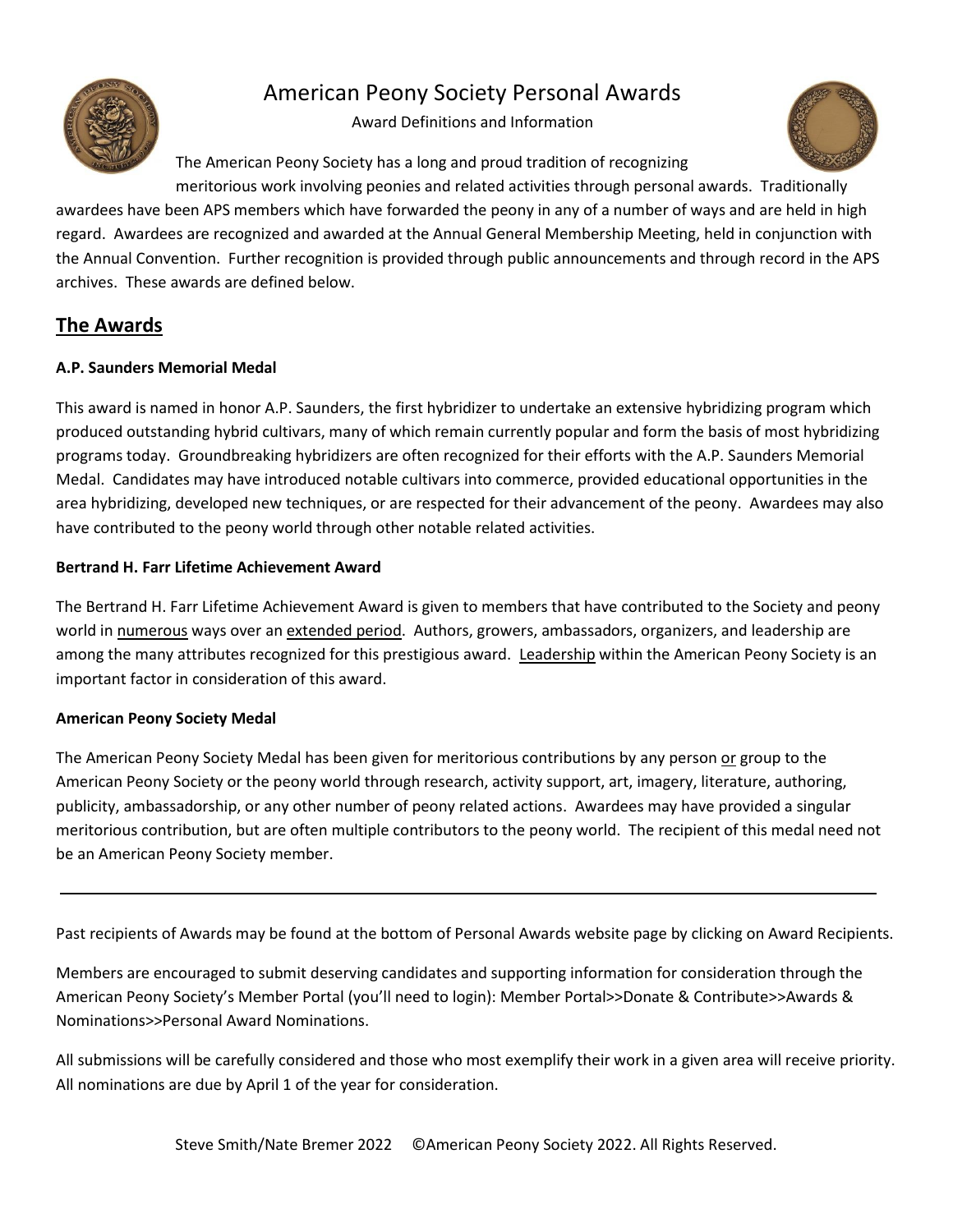

# American Peony Society Personal Awards

Award Definitions and Information

The American Peony Society has a long and proud tradition of recognizing



meritorious work involving peonies and related activities through personal awards. Traditionally awardees have been APS members which have forwarded the peony in any of a number of ways and are held in high regard. Awardees are recognized and awarded at the Annual General Membership Meeting, held in conjunction with the Annual Convention. Further recognition is provided through public announcements and through record in the APS archives. These awards are defined below.

## **The Awards**

### **A.P. Saunders Memorial Medal**

This award is named in honor A.P. Saunders, the first hybridizer to undertake an extensive hybridizing program which produced outstanding hybrid cultivars, many of which remain currently popular and form the basis of most hybridizing programs today. Groundbreaking hybridizers are often recognized for their efforts with the A.P. Saunders Memorial Medal. Candidates may have introduced notable cultivars into commerce, provided educational opportunities in the area hybridizing, developed new techniques, or are respected for their advancement of the peony. Awardees may also have contributed to the peony world through other notable related activities.

### **Bertrand H. Farr Lifetime Achievement Award**

The Bertrand H. Farr Lifetime Achievement Award is given to members that have contributed to the Society and peony world in numerous ways over an extended period. Authors, growers, ambassadors, organizers, and leadership are among the many attributes recognized for this prestigious award. Leadership within the American Peony Society is an important factor in consideration of this award.

#### **American Peony Society Medal**

The American Peony Society Medal has been given for meritorious contributions by any person or group to the American Peony Society or the peony world through research, activity support, art, imagery, literature, authoring, publicity, ambassadorship, or any other number of peony related actions. Awardees may have provided a singular meritorious contribution, but are often multiple contributors to the peony world. The recipient of this medal need not be an American Peony Society member.

Past recipients of Awards may be found at the bottom of Personal Awards website page by clicking on Award Recipients.

Members are encouraged to submit deserving candidates and supporting information for consideration through the American Peony Society's Member Portal (you'll need to login): Member Portal>>Donate & Contribute>>Awards & Nominations>>Personal Award Nominations.

All submissions will be carefully considered and those who most exemplify their work in a given area will receive priority. All nominations are due by April 1 of the year for consideration.